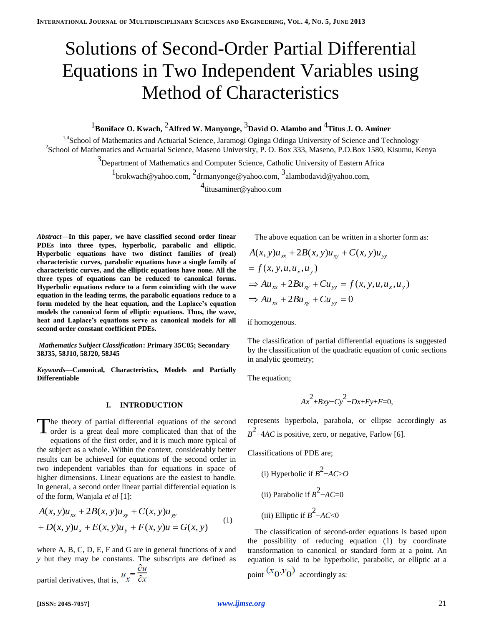## Solutions of Second-Order Partial Differential Equations in Two Independent Variables using Method of Characteristics

### <sup>1</sup> Boniface O. Kwach, <sup>2</sup>Alfred W. Manyonge, <sup>3</sup> David O. Alambo and <sup>4</sup> Titus J. O. Aminer

<sup>1,4</sup>School of Mathematics and Actuarial Science, Jaramogi Oginga Odinga University of Science and Technology <sup>2</sup> School of Mathematics and Actuarial Science, Maseno University, P. O. Box 333, Maseno, P.O.Box 1580, Kisumu, Kenya

> <sup>3</sup>Department of Mathematics and Computer Science, Catholic University of Eastern Africa <sup>1</sup>brokwach@yahoo.com, <sup>2</sup>drmanyonge@yahoo.com, <sup>3</sup>alambodavid@yahoo.com,

> > 4 titusaminer@yahoo.com

*Abstract*—**In this paper, we have classified second order linear PDEs into three types, hyperbolic, parabolic and elliptic. Hyperbolic equations have two distinct families of (real) characteristic curves, parabolic equations have a single family of characteristic curves, and the elliptic equations have none. All the three types of equations can be reduced to canonical forms. Hyperbolic equations reduce to a form coinciding with the wave equation in the leading terms, the parabolic equations reduce to a form modeled by the heat equation, and the Laplace's equation models the canonical form of elliptic equations. Thus, the wave, heat and Laplace's equations serve as canonical models for all second order constant coefficient PDEs.**

*Mathematics Subject Classification***: Primary 35C05; Secondary 38J35, 58J10, 58J20, 58J45**

*Keywords***—Canonical, Characteristics, Models and Partially Differentiable**

#### **I. INTRODUCTION**

The theory of partial differential equations of the second order is a great deal more complicated than that of the **L** order is a great deal more complicated than that of the equations of the first order, and it is much more typical of the subject as a whole. Within the context, considerably better results can be achieved for equations of the second order in two independent variables than for equations in space of higher dimensions. Linear equations are the easiest to handle. In general, a second order linear partial differential equation is of the form, Wanjala *et al* [1]:

$$
A(x, y)u_{xx} + 2B(x, y)u_{xy} + C(x, y)u_{yy}
$$
  
+  $D(x, y)u_x + E(x, y)u_y + F(x, y)u = G(x, y)$  (1)

where A, B, C, D, E, F and G are in general functions of *x* and *y* but they may be constants. The subscripts are defined as дu

partial derivatives, that is,  $u_x = \frac{\partial u}{\partial x}$ .

The above equation can be written in a shorter form as:

$$
A(x, y)u_{xx} + 2B(x, y)u_{xy} + C(x, y)u_{yy}
$$
  
=  $f(x, y, u, u_x, u_y)$   

$$
\Rightarrow Au_{xx} + 2Bu_{xy} + Cu_{yy} = f(x, y, u, u_x, u_y)
$$
  

$$
\Rightarrow Au_{xx} + 2Bu_{xy} + Cu_{yy} = 0
$$

if homogenous.

The classification of partial differential equations is suggested by the classification of the quadratic equation of conic sections in analytic geometry;

The equation;

$$
Ax^2+By+Cy^2+Dx+Ey+F=0,
$$

represents hyperbola, parabola, or ellipse accordingly as  $B^2$ –4*AC* is positive, zero, or negative, Farlow [6].

Classifications of PDE are;

\n- (i) Hyperbolic if 
$$
B^2 - AC > O
$$
\n- (ii) Parabolic if  $B^2 - AC = 0$
\n- (iii) Elliptic if  $B^2 - AC < 0$
\n

The classification of second-order equations is based upon the possibility of reducing equation (1) by coordinate transformation to canonical or standard form at a point. An equation is said to be hyperbolic, parabolic, or elliptic at a point  $(x_0, y_0)$  accordingly as: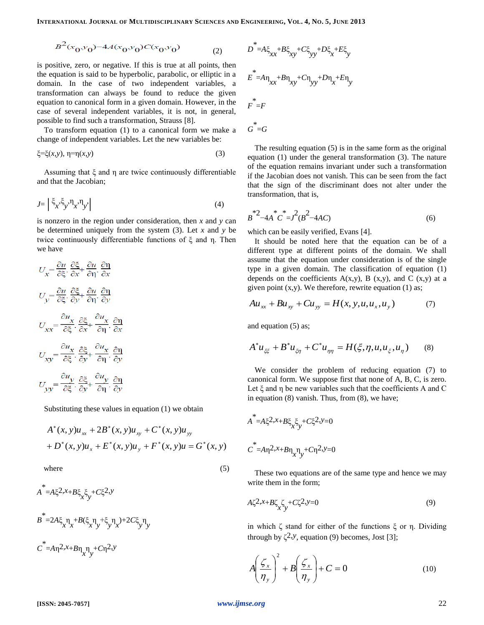$$
B^2(x_0, y_0) - 4A(x_0, y_0)C(x_0, y_0) \tag{2}
$$

is positive, zero, or negative. If this is true at all points, then the equation is said to be hyperbolic, parabolic, or elliptic in a domain. In the case of two independent variables, a transformation can always be found to reduce the given equation to canonical form in a given domain. However, in the case of several independent variables, it is not, in general, possible to find such a transformation, Strauss [8].

To transform equation (1) to a canonical form we make a change of independent variables. Let the new variables be:

$$
\xi = \xi(x, y), \ \eta = \eta(x, y) \tag{3}
$$

Assuming that ξ and η are twice continuously differentiable and that the Jacobian;

$$
J = \left| \zeta_{x'} \zeta_{y'} \eta_{x'} \eta_{y'} \right| \tag{4}
$$

is nonzero in the region under consideration, then *x* and *y* can be determined uniquely from the system (3). Let *x* and *y* be twice continuously differentiable functions of ξ and η. Then we have

$$
U_x = \frac{\partial u}{\partial \xi} \cdot \frac{\partial \xi}{\partial x} + \frac{\partial u}{\partial \eta} \cdot \frac{\partial \eta}{\partial x}
$$
  
\n
$$
U_y = \frac{\partial u}{\partial \xi} \cdot \frac{\partial \xi}{\partial y} + \frac{\partial u}{\partial \eta} \cdot \frac{\partial \eta}{\partial y}
$$
  
\n
$$
U_{xx} = \frac{\partial u_x}{\partial \xi} \cdot \frac{\partial \xi}{\partial x} + \frac{\partial u_x}{\partial \eta} \cdot \frac{\partial \eta}{\partial x}
$$
  
\n
$$
U_{xy} = \frac{\partial u_x}{\partial \xi} \cdot \frac{\partial \xi}{\partial y} + \frac{\partial u_x}{\partial \eta} \cdot \frac{\partial \eta}{\partial y}
$$
  
\n
$$
U_{yy} = \frac{\partial u_y}{\partial \xi} \cdot \frac{\partial \xi}{\partial y} + \frac{\partial u_y}{\partial \eta} \cdot \frac{\partial \eta}{\partial y}
$$

Substituting these values in equation (1) we obtain

$$
A^*(x, y)u_{xx} + 2B^*(x, y)u_{xy} + C^*(x, y)u_{yy}
$$
  
+  $D^*(x, y)u_x + E^*(x, y)u_y + F^*(x, y)u = G^*(x, y)$ 

where  $(5)$ 

$$
A^* = A \xi^2 x + B \xi_x \xi_y + C \xi^2 y
$$
  
\n
$$
B^* = 2A \xi_x \eta_x + B(\xi_x \eta_y + \xi_y \eta_x) + 2C \xi_y \eta_y
$$
  
\n
$$
C^* = A \eta^2 x + B \eta_x \eta_y + C \eta^2 y
$$

$$
D^* = A \xi_{xx} + B \xi_{xy} + C \xi_{yy} + D \xi_x + E \xi_y
$$
  
\n
$$
E^* = A \eta_{xx} + B \eta_{xy} + C \eta_{yy} + D \eta_x + E \eta_y
$$
  
\n
$$
F^* = F
$$
  
\n
$$
G^* = G
$$

The resulting equation (5) is in the same form as the original equation (1) under the general transformation (3). The nature of the equation remains invariant under such a transformation if the Jacobian does not vanish. This can be seen from the fact that the sign of the discriminant does not alter under the transformation, that is,

$$
B^*{}^2 - 4A^*C^* = J^2(B^2 - 4AC) \tag{6}
$$

which can be easily verified, Evans [4].

It should be noted here that the equation can be of a different type at different points of the domain. We shall assume that the equation under consideration is of the single type in a given domain. The classification of equation (1) depends on the coefficients  $A(x,y)$ ,  $B(x,y)$ , and  $C(x,y)$  at a given point  $(x,y)$ . We therefore, rewrite equation (1) as;

$$
Au_{xx} + Bu_{xy} + Cu_{yy} = H(x, y, u, u_x, u_y)
$$
 (7)

and equation (5) as;

$$
A^* u_{\xi\xi} + B^* u_{\xi\eta} + C^* u_{\eta\eta} = H(\xi, \eta, u, u_{\xi}, u_{\eta}) \qquad (8)
$$

We consider the problem of reducing equation (7) to canonical form. We suppose first that none of A, B, C, is zero. Let ξ and η be new variables such that the coefficients A and C in equation (8) vanish. Thus, from (8), we have;

$$
A^* = A\xi^2 x + B\xi_x \xi_y + C\xi^2 y = 0
$$
  

$$
C^* = A\eta^2 x + B\eta_x \eta_y + C\eta^2 y = 0
$$

These two equations are of the same type and hence we may write them in the form;

$$
A\zeta^{2,x} + B\zeta_{x}\zeta_{y} + C\zeta^{2,y} = 0\tag{9}
$$

in which ζ stand for either of the functions ξ or η. Dividing through by  $\zeta^2$ , *y*, equation (9) becomes, Jost [3];

$$
A\left(\frac{\zeta_x}{\eta_y}\right)^2 + B\left(\frac{\zeta_x}{\eta_y}\right) + C = 0 \tag{10}
$$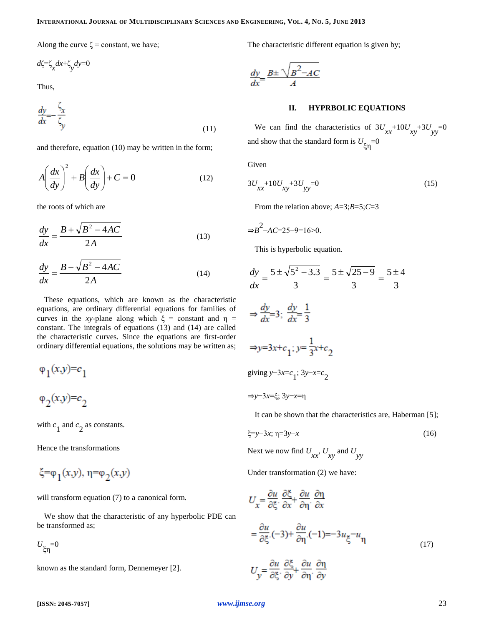Along the curve  $\zeta$  = constant, we have;

$$
d\zeta \text{=}\zeta_{x}dx \text{+}\zeta_{y}dy \text{=0}
$$

Thus,

$$
\frac{dy}{dx} = \frac{\zeta_x}{\zeta_y} \tag{11}
$$

and therefore, equation (10) may be written in the form;

$$
A\left(\frac{dx}{dy}\right)^2 + B\left(\frac{dx}{dy}\right) + C = 0
$$
 (12)

the roots of which are

$$
\frac{dy}{dx} = \frac{B + \sqrt{B^2 - 4AC}}{2A}
$$
 (13)

$$
\frac{dy}{dx} = \frac{B - \sqrt{B^2 - 4AC}}{2A} \tag{14}
$$

These equations, which are known as the characteristic equations, are ordinary differential equations for families of curves in the *xy*-plane along which  $\xi$  = constant and  $\eta$  = constant. The integrals of equations (13) and (14) are called the characteristic curves. Since the equations are first-order ordinary differential equations, the solutions may be written as;

$$
\varphi_1(x,y)=c_1
$$
  

$$
\varphi_2(x,y)=c_2
$$

with  $c_1$  and  $c_2$  as constants.

Hence the transformations

ξ=φ<sub>1</sub>(x,y), η=φ<sub>2</sub>(x,y)

will transform equation (7) to a canonical form.

We show that the characteristic of any hyperbolic PDE can be transformed as;

 $U_{\xi \eta} = 0$ 

known as the standard form, Dennemeyer [2].

The characteristic different equation is given by;

$$
\frac{dy}{dx} = \frac{B \pm \sqrt{B^2 - AC}}{A}
$$

#### **II. HYPRBOLIC EQUATIONS**

We can find the characteristics of  $3U_{xx}$  +10 $U_{xy}$  +3 $U_{yy}$  =0 and show that the standard form is  $U_{\xi\eta}$ =0

Given

$$
3U_{xx} + 10U_{xy} + 3U_{yy} = 0
$$
\n(15)

From the relation above; *A*=3;*B*=5;*C*=3

$$
\Rightarrow B^2 - AC = 25 - 9 = 16 > 0.
$$

This is hyperbolic equation.

$$
\frac{dy}{dx} = \frac{5 \pm \sqrt{5^2 - 3.3}}{3} = \frac{5 \pm \sqrt{25 - 9}}{3} = \frac{5 \pm 4}{3}
$$
  
\n
$$
\Rightarrow \frac{dy}{dx} = 3; \frac{dy}{dx} = \frac{1}{3}
$$
  
\n
$$
\Rightarrow y = 3x + c_1; y = \frac{1}{3}x + c_2
$$
  
\ngiving y-3x = c<sub>1</sub>; 3y-x=c<sub>2</sub>  
\n
$$
\Rightarrow y - 3x = \xi; 3y - x = \eta
$$
  
\nIt can be shown that the characteristics are Habe

 $erman$  [5];

$$
\xi = y - 3x; \ \eta = 3y - x \tag{16}
$$

Next we now find  $U_{xx}$ ,  $U_{xy}$  and  $U_{yy}$ 

Under transformation (2) we have:

$$
U_x = \frac{\partial u}{\partial \xi} \cdot \frac{\partial \xi}{\partial x} + \frac{\partial u}{\partial \eta} \cdot \frac{\partial \eta}{\partial x}
$$
  

$$
= \frac{\partial u}{\partial \xi} \cdot (-3) + \frac{\partial u}{\partial \eta} \cdot (-1) = -3u_{\xi} - u_{\eta}
$$
 (17)

$$
U_y = \frac{\partial u}{\partial \xi} \cdot \frac{\partial \xi}{\partial y} + \frac{\partial u}{\partial \eta} \cdot \frac{\partial \eta}{\partial y}
$$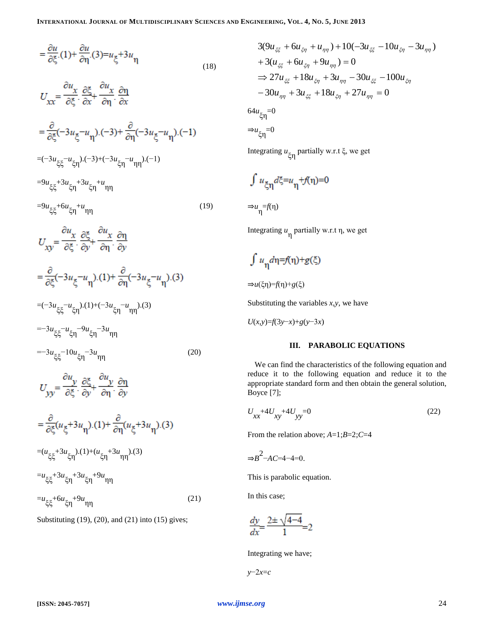$$
=\frac{\partial u}{\partial \xi}(1) + \frac{\partial u}{\partial \eta}(3) = u_{\xi} + 3u_{\eta}
$$
\n(18)

$$
U_{xx} = \frac{\partial u_x}{\partial \xi} \cdot \frac{\partial \xi}{\partial x} + \frac{\partial u_x}{\partial \eta} \cdot \frac{\partial \eta}{\partial x}
$$
  
\n
$$
= \frac{\partial}{\partial \xi} (-3u_{\xi} - u_{\eta}) \cdot (-3) + \frac{\partial}{\partial \eta} (-3u_{\xi} - u_{\eta}) \cdot (-1)
$$
  
\n
$$
= (-3u_{\xi\xi} - u_{\xi\eta}) \cdot (-3) + (-3u_{\xi\eta} - u_{\eta\eta}) \cdot (-1)
$$
  
\n
$$
= 9u_{\xi\xi} + 3u_{\xi\eta} + 3u_{\xi\eta} + u_{\eta\eta}
$$
  
\n
$$
= 9u_{\xi\xi} + 6u_{\xi\eta} + u_{\eta\eta}
$$
  
\n
$$
= 9u_{\xi\xi} + 6u_{\xi\eta} + u_{\eta\eta}
$$
  
\n
$$
= \frac{\partial u_x}{\partial \xi} \cdot \frac{\partial \xi}{\partial y} + \frac{\partial u_x}{\partial \eta} \cdot \frac{\partial \eta}{\partial y}
$$
  
\n
$$
= \frac{\partial}{\partial \xi} (-3u_{\xi} - u_{\eta}) \cdot (1) + \frac{\partial}{\partial \eta} (-3u_{\xi} - u_{\eta}) \cdot (3)
$$
  
\n
$$
= (-3u_{\xi\xi} - u_{\xi\eta}) \cdot (1) + (-3u_{\xi\eta} - u_{\eta\eta}) \cdot (3)
$$
  
\n
$$
= -3u_{\xi\xi} - u_{\xi\eta} - 9u_{\xi\eta} - 3u_{\eta\eta}
$$
  
\n
$$
= -3u_{\xi\xi} - 10u_{\xi\eta} - 3u_{\eta\eta}
$$
  
\n
$$
= -3u_{\xi\xi} - 2u_{\xi\eta} - 3u_{\eta\eta}
$$
  
\n
$$
= -3u_{\xi\xi} - 3u_{\xi\eta} - 3u_{\eta\eta}
$$
  
\n
$$
= \frac{\partial}{\partial \xi} (u_{\xi} + 3u_{\eta}) \cdot (1) + \frac{\partial}{\partial \eta} (u_{\xi} + 3u_{\eta}) \cdot (3)
$$
  
\n
$$
= u_{\xi\x
$$

Substituting (19), (20), and (21) into (15) gives;

$$
3(9u_{\xi\xi} + 6u_{\xi\eta} + u_{\eta\eta}) + 10(-3u_{\xi\xi} - 10u_{\xi\eta} - 3u_{\eta\eta})
$$
  
+ 3(u\_{\xi\xi} + 6u\_{\xi\eta} + 9u\_{\eta\eta}) = 0  

$$
\Rightarrow 27u_{\xi\xi} + 18u_{\xi\eta} + 3u_{\eta\eta} - 30u_{\xi\xi} - 100u_{\xi\eta}
$$
  
- 30u\_{\eta\eta} + 3u\_{\xi\xi} + 18u\_{\xi\eta} + 27u\_{\eta\eta} = 0  
64u\_{\xi\eta} = 0  

$$
\Rightarrow u_{\xi\eta} = 0
$$

Integrating *u* ξη partially w.r.t ξ, we get

$$
\int u_{\xi\eta} d\xi = u_{\eta} + f(\eta) = 0
$$

$$
\Rightarrow u_{\eta} = f(\eta)
$$

Integrating *u* η partially w.r.t η, we get

$$
\int u_{\eta} d\eta = f(\eta) + g(\xi)
$$

$$
\Rightarrow u(\xi\eta)=f(\eta)+g(\xi)
$$

Substituting the variables *x*,*y*, we have

$$
U(x,y)=f(3y-x)+g(y-3x)
$$

#### **III. PARABOLIC EQUATIONS**

We can find the characteristics of the following equation and reduce it to the following equation and reduce it to the appropriate standard form and then obtain the general solution, Boyce [7];

$$
U_{xx} + 4U_{xy} + 4U_{yy} = 0
$$
\n(22)

From the relation above; *A*=1;*B*=2;*C*=4

$$
\Rightarrow B^2 - AC = 4 - 4 = 0.
$$

This is parabolic equation.

In this case;

$$
\frac{dy}{dx} = \frac{2 \pm \sqrt{4-4}}{1} = 2
$$

Integrating we have;

$$
y \text{-} 2x \text{=} c
$$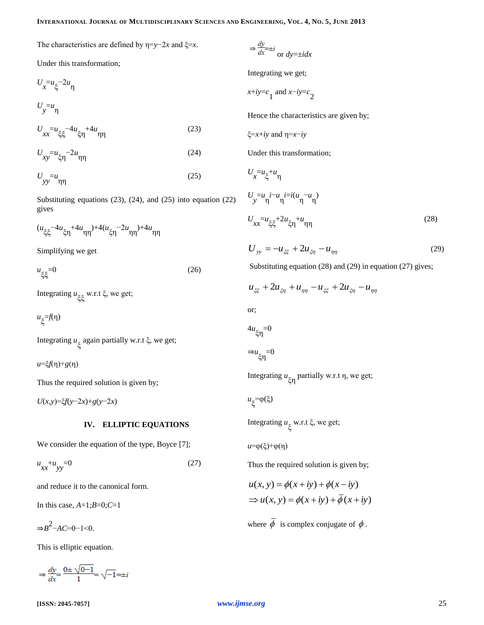The characteristics are defined by η=*y*−2*x* and ξ=*x*.

Under this transformation;

$$
U_x = u_{\xi} - 2u_{\eta}
$$
  
\n
$$
U_y = u_{\eta}
$$
  
\n
$$
U_{xx} = u_{\xi\xi} - 4u_{\xi\eta} + 4u_{\eta\eta}
$$
 (23)

$$
U_{xy} = u_{\xi\eta} - 2u_{\eta\eta} \tag{24}
$$

$$
U_{yy} = u_{\eta\eta} \tag{25}
$$

Substituting equations (23), (24), and (25) into equation (22) gives

$$
(u_{\xi\xi} - 4u_{\xi\eta} + 4u_{\eta\eta}) + 4(u_{\xi\eta} - 2u_{\eta\eta}) + 4u_{\eta\eta}
$$

Simplifying we get

 $u_{\xi\xi} = 0$  $\xi$ ξ $^{=0}$  (26)

Integrating *u* ξξ w.r.t ξ, we get;

*u* ξ =*f*(η)

Integrating *u* ξ again partially w.r.t ξ, we get;

*u*=ξ*f*(η)+*g*(η)

Thus the required solution is given by;

*U*(*x*,*y*)=ξ*f*(*y*−2*x*)+*g*(*y*−2*x*)

#### **IV. ELLIPTIC EQUATIONS**

We consider the equation of the type, Boyce [7];

$$
u_{xx} + u_{yy} = 0 \tag{27}
$$

and reduce it to the canonical form.

In this case, *A*=1;*B*=0;*C*=1

 $\Rightarrow B^2$ -*AC*=0-1<0.

This is elliptic equation.

$$
\Rightarrow \frac{dy}{dx} = \frac{0 \pm \sqrt{0 - 1}}{1} = \sqrt{-1} = \pm i
$$

# $\Rightarrow \frac{dy}{dx} = \pm i$  or  $dy = \pm i dx$

Integrating we get;

 $\frac{x+iy=c}{1}$  and  $\frac{x-iy=c}{2}$ 

Hence the characteristics are given by;

$$
\xi = x + iy
$$
 and  $\eta = x - iy$ 

Under this transformation;

$$
U_x = u_{\xi} + u_{\eta}
$$
  
\n
$$
U_y = u_{\eta} i - u_{\eta} i = i(u_{\eta} - u_{\eta})
$$
  
\n
$$
U_{xx} = u_{\xi\xi} + 2u_{\xi\eta} + u_{\eta\eta}
$$
\n(28)

$$
U_{yy} = -u_{\xi\xi} + 2u_{\xi\eta} - u_{\eta\eta} \tag{29}
$$

Substituting equation (28) and (29) in equation (27) gives;

$$
u_{\xi\xi} + 2u_{\xi\eta} + u_{\eta\eta} - u_{\xi\xi} + 2u_{\xi\eta} - u_{\eta\eta}
$$

or;

*U*

$$
^{4u}\xi\eta^{=0}
$$

 $\Rightarrow u_{\xi_1} = 0$ 

Integrating *u* ξη partially w.r.t η, we get;

$$
u_\xi=\varphi(\xi)
$$

Integrating *u* ξ w.r.t ξ, we get;

*u*=φ(ξ)+φ(η)

Thus the required solution is given by;

$$
u(x, y) = \phi(x + iy) + \phi(x - iy)
$$
  
\n
$$
\Rightarrow u(x, y) = \phi(x + iy) + \overline{\phi}(x + iy)
$$

where  $\phi$  is complex conjugate of  $\phi$ .